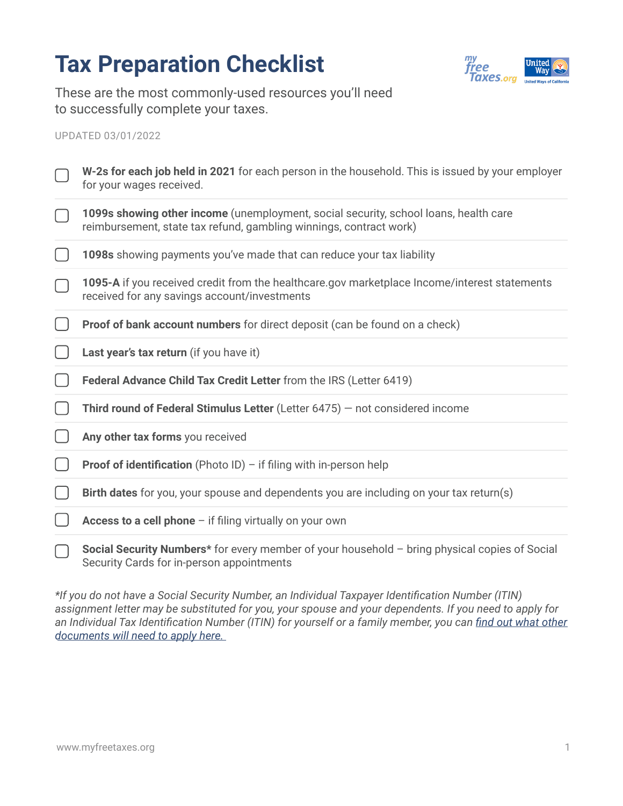## **Tax Preparation Checklist**



These are the most commonly-used resources you'll need to successfully complete your taxes.

## UPDATED 03/01/2022

| W-2s for each job held in 2021 for each person in the household. This is issued by your employer<br>for your wages received.                               |
|------------------------------------------------------------------------------------------------------------------------------------------------------------|
| 1099s showing other income (unemployment, social security, school loans, health care<br>reimbursement, state tax refund, gambling winnings, contract work) |
| 1098s showing payments you've made that can reduce your tax liability                                                                                      |
| 1095-A if you received credit from the healthcare.gov marketplace Income/interest statements<br>received for any savings account/investments               |
| Proof of bank account numbers for direct deposit (can be found on a check)                                                                                 |
| Last year's tax return (if you have it)                                                                                                                    |
| Federal Advance Child Tax Credit Letter from the IRS (Letter 6419)                                                                                         |
| Third round of Federal Stimulus Letter (Letter $6475$ ) – not considered income                                                                            |
| Any other tax forms you received                                                                                                                           |
| <b>Proof of identification</b> (Photo ID) $-$ if filing with in-person help                                                                                |
| Birth dates for you, your spouse and dependents you are including on your tax return(s)                                                                    |
| Access to a cell phone - if filing virtually on your own                                                                                                   |
| Social Security Numbers* for every member of your household - bring physical copies of Social<br>Security Cards for in-person appointments                 |

*\*If you do not have a Social Security Number, an Individual Taxpayer Identification Number (ITIN) assignment letter may be substituted for you, your spouse and your dependents. If you need to apply for*  an Individual Tax Identification Number (ITIN) for yourself or a family member, you can *find out what other [documents will need to apply here.](https://www.myfreetaxes.org/resource/itin-checklist/)*